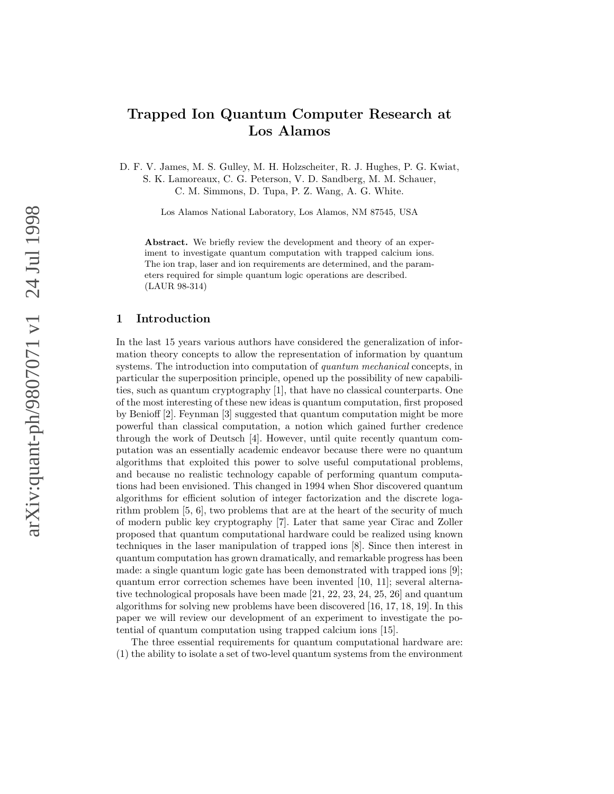# Trapped Ion Quantum Computer Research at Los Alamos

D. F. V. James, M. S. Gulley, M. H. Holzscheiter, R. J. Hughes, P. G. Kwiat, S. K. Lamoreaux, C. G. Peterson, V. D. Sandberg, M. M. Schauer, C. M. Simmons, D. Tupa, P. Z. Wang, A. G. White.

Los Alamos National Laboratory, Los Alamos, NM 87545, USA

Abstract. We briefly review the development and theory of an experiment to investigate quantum computation with trapped calcium ions. The ion trap, laser and ion requirements are determined, and the parameters required for simple quantum logic operations are described. (LAUR 98-314)

#### 1 Introduction

In the last 15 years various authors have considered the generalization of information theory concepts to allow the representation of information by quantum systems. The introduction into computation of *quantum mechanical* concepts, in particular the superposition principle, opened up the possibility of new capabilities, such as quantum cryptography [1], that have no classical counterparts. One of the most interesting of these new ideas is quantum computation, first proposed by Benioff [2]. Feynman [3] suggested that quantum computation might be more powerful than classical computation, a notion which gained further credence through the work of Deutsch [4]. However, until quite recently quantum computation was an essentially academic endeavor because there were no quantum algorithms that exploited this power to solve useful computational problems, and because no realistic technology capable of performing quantum computations had been envisioned. This changed in 1994 when Shor discovered quantum algorithms for efficient solution of integer factorization and the discrete logarithm problem [5, 6], two problems that are at the heart of the security of much of modern public key cryptography [7]. Later that same year Cirac and Zoller proposed that quantum computational hardware could be realized using known techniques in the laser manipulation of trapped ions [8]. Since then interest in quantum computation has grown dramatically, and remarkable progress has been made: a single quantum logic gate has been demonstrated with trapped ions [9]; quantum error correction schemes have been invented [10, 11]; several alternative technological proposals have been made [21, 22, 23, 24, 25, 26] and quantum algorithms for solving new problems have been discovered [16, 17, 18, 19]. In this paper we will review our development of an experiment to investigate the potential of quantum computation using trapped calcium ions [15].

The three essential requirements for quantum computational hardware are: (1) the ability to isolate a set of two-level quantum systems from the environment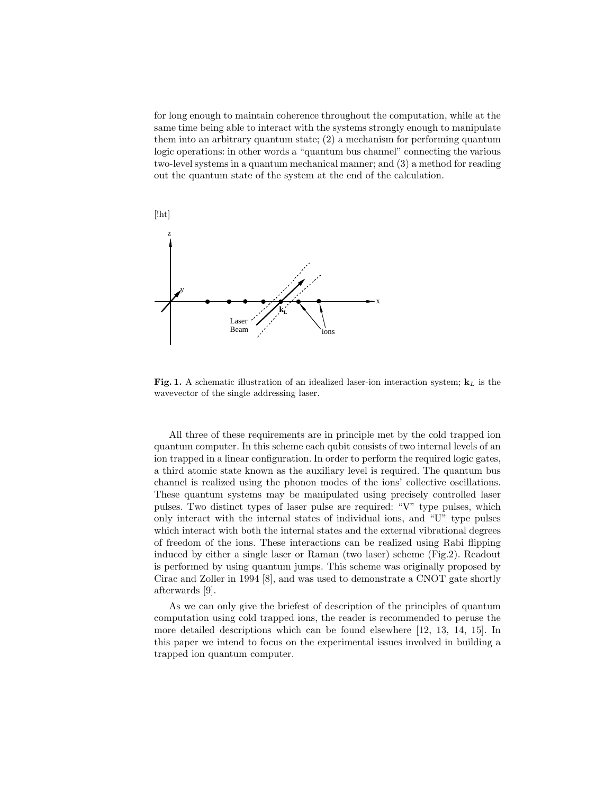for long enough to maintain coherence throughout the computation, while at the same time being able to interact with the systems strongly enough to manipulate them into an arbitrary quantum state; (2) a mechanism for performing quantum logic operations: in other words a "quantum bus channel" connecting the various two-level systems in a quantum mechanical manner; and (3) a method for reading out the quantum state of the system at the end of the calculation.



Fig. 1. A schematic illustration of an idealized laser-ion interaction system;  $\mathbf{k}_L$  is the wavevector of the single addressing laser.

All three of these requirements are in principle met by the cold trapped ion quantum computer. In this scheme each qubit consists of two internal levels of an ion trapped in a linear configuration. In order to perform the required logic gates, a third atomic state known as the auxiliary level is required. The quantum bus channel is realized using the phonon modes of the ions' collective oscillations. These quantum systems may be manipulated using precisely controlled laser pulses. Two distinct types of laser pulse are required: "V" type pulses, which only interact with the internal states of individual ions, and "U" type pulses which interact with both the internal states and the external vibrational degrees of freedom of the ions. These interactions can be realized using Rabi flipping induced by either a single laser or Raman (two laser) scheme (Fig.2). Readout is performed by using quantum jumps. This scheme was originally proposed by Cirac and Zoller in 1994 [8], and was used to demonstrate a CNOT gate shortly afterwards [9].

As we can only give the briefest of description of the principles of quantum computation using cold trapped ions, the reader is recommended to peruse the more detailed descriptions which can be found elsewhere [12, 13, 14, 15]. In this paper we intend to focus on the experimental issues involved in building a trapped ion quantum computer.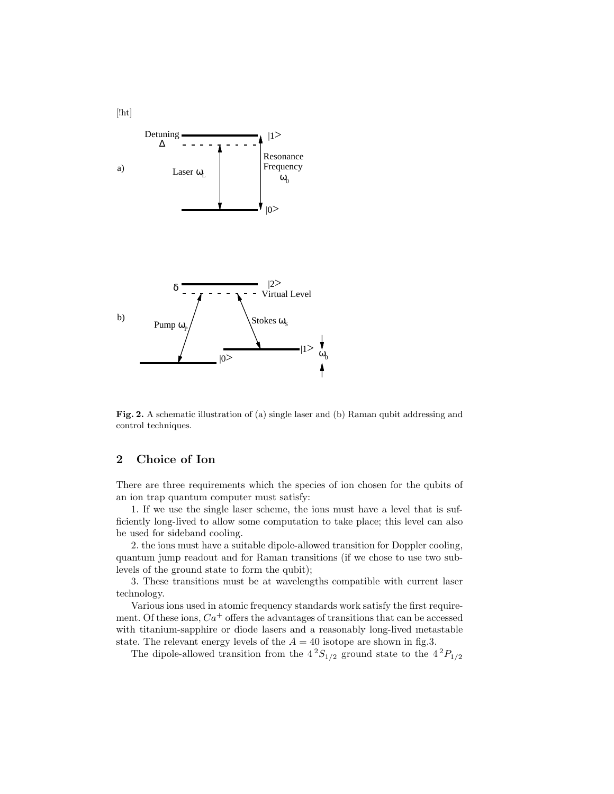

Fig. 2. A schematic illustration of (a) single laser and (b) Raman qubit addressing and control techniques.

# 2 Choice of Ion

There are three requirements which the species of ion chosen for the qubits of an ion trap quantum computer must satisfy:

1. If we use the single laser scheme, the ions must have a level that is sufficiently long-lived to allow some computation to take place; this level can also be used for sideband cooling.

2. the ions must have a suitable dipole-allowed transition for Doppler cooling, quantum jump readout and for Raman transitions (if we chose to use two sublevels of the ground state to form the qubit);

3. These transitions must be at wavelengths compatible with current laser technology.

Various ions used in atomic frequency standards work satisfy the first requirement. Of these ions,  $Ca^+$  offers the advantages of transitions that can be accessed with titanium-sapphire or diode lasers and a reasonably long-lived metastable state. The relevant energy levels of the  $A = 40$  isotope are shown in fig.3.

The dipole-allowed transition from the  $4^2S_{1/2}$  ground state to the  $4^2P_{1/2}$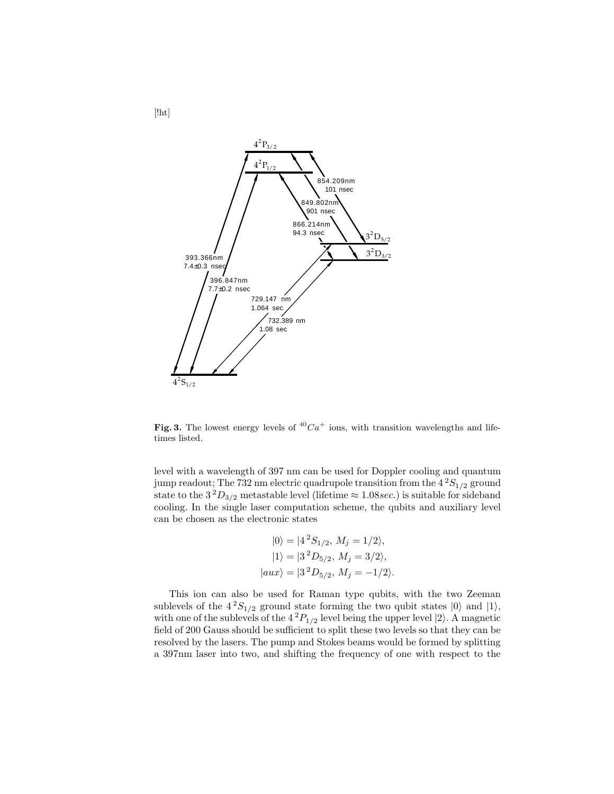

Fig. 3. The lowest energy levels of  ${}^{40}Ca<sup>+</sup>$  ions, with transition wavelengths and lifetimes listed.

level with a wavelength of 397 nm can be used for Doppler cooling and quantum jump readout; The 732 nm electric quadrupole transition from the  $4^{2}S_{1/2}$  ground state to the  $3^{2}D_{3/2}$  metastable level (lifetime  $\approx 1.08$ sec.) is suitable for sideband cooling. In the single laser computation scheme, the qubits and auxiliary level can be chosen as the electronic states

$$
|0\rangle = |4^2S_{1/2}, M_j = 1/2\rangle,
$$
  
\n $|1\rangle = |3^2D_{5/2}, M_j = 3/2\rangle,$   
\n $|aux\rangle = |3^2D_{5/2}, M_j = -1/2\rangle.$ 

This ion can also be used for Raman type qubits, with the two Zeeman sublevels of the  $4^2S_{1/2}$  ground state forming the two qubit states  $|0\rangle$  and  $|1\rangle$ , with one of the sublevels of the  $4<sup>2</sup>P<sub>1/2</sub>$  level being the upper level  $|2\rangle$ . A magnetic field of 200 Gauss should be sufficient to split these two levels so that they can be resolved by the lasers. The pump and Stokes beams would be formed by splitting a 397nm laser into two, and shifting the frequency of one with respect to the

[!ht]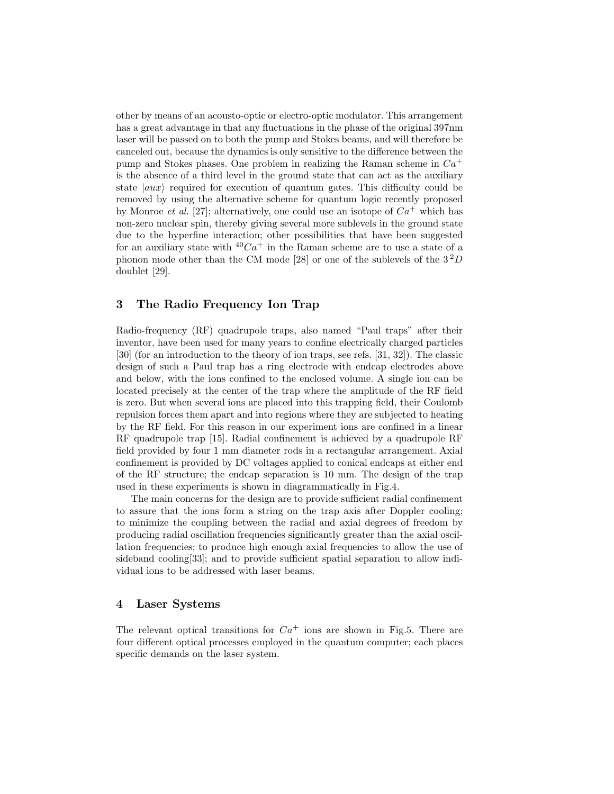other by means of an acousto-optic or electro-optic modulator. This arrangement has a great advantage in that any fluctuations in the phase of the original 397nm laser will be passed on to both the pump and Stokes beams, and will therefore be canceled out, because the dynamics is only sensitive to the difference between the pump and Stokes phases. One problem in realizing the Raman scheme in  $Ca<sup>+</sup>$ is the absence of a third level in the ground state that can act as the auxiliary state  $|aux\rangle$  required for execution of quantum gates. This difficulty could be removed by using the alternative scheme for quantum logic recently proposed by Monroe *et al.* [27]; alternatively, one could use an isotope of  $Ca^+$  which has non-zero nuclear spin, thereby giving several more sublevels in the ground state due to the hyperfine interaction; other possibilities that have been suggested for an auxiliary state with  $40Ca<sup>+</sup>$  in the Raman scheme are to use a state of a phonon mode other than the CM mode [28] or one of the sublevels of the  $3<sup>2</sup>D$ doublet [29].

## 3 The Radio Frequency Ion Trap

Radio-frequency (RF) quadrupole traps, also named "Paul traps" after their inventor, have been used for many years to confine electrically charged particles [30] (for an introduction to the theory of ion traps, see refs. [31, 32]). The classic design of such a Paul trap has a ring electrode with endcap electrodes above and below, with the ions confined to the enclosed volume. A single ion can be located precisely at the center of the trap where the amplitude of the RF field is zero. But when several ions are placed into this trapping field, their Coulomb repulsion forces them apart and into regions where they are subjected to heating by the RF field. For this reason in our experiment ions are confined in a linear RF quadrupole trap [15]. Radial confinement is achieved by a quadrupole RF field provided by four 1 mm diameter rods in a rectangular arrangement. Axial confinement is provided by DC voltages applied to conical endcaps at either end of the RF structure; the endcap separation is 10 mm. The design of the trap used in these experiments is shown in diagrammatically in Fig.4.

The main concerns for the design are to provide sufficient radial confinement to assure that the ions form a string on the trap axis after Doppler cooling; to minimize the coupling between the radial and axial degrees of freedom by producing radial oscillation frequencies significantly greater than the axial oscillation frequencies; to produce high enough axial frequencies to allow the use of sideband cooling[33]; and to provide sufficient spatial separation to allow individual ions to be addressed with laser beams.

#### 4 Laser Systems

The relevant optical transitions for  $Ca^+$  ions are shown in Fig.5. There are four different optical processes employed in the quantum computer; each places specific demands on the laser system.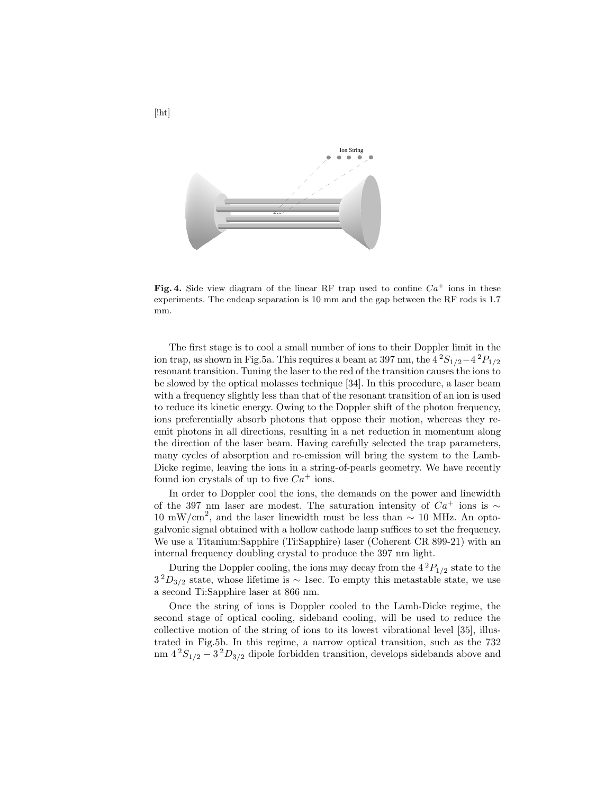

**Fig. 4.** Side view diagram of the linear RF trap used to confine  $Ca^+$  ions in these experiments. The endcap separation is 10 mm and the gap between the RF rods is 1.7 mm.

The first stage is to cool a small number of ions to their Doppler limit in the ion trap, as shown in Fig.5a. This requires a beam at 397 nm, the  $4^2S_{1/2}-4^2P_{1/2}$ resonant transition. Tuning the laser to the red of the transition causes the ions to be slowed by the optical molasses technique [34]. In this procedure, a laser beam with a frequency slightly less than that of the resonant transition of an ion is used to reduce its kinetic energy. Owing to the Doppler shift of the photon frequency, ions preferentially absorb photons that oppose their motion, whereas they reemit photons in all directions, resulting in a net reduction in momentum along the direction of the laser beam. Having carefully selected the trap parameters, many cycles of absorption and re-emission will bring the system to the Lamb-Dicke regime, leaving the ions in a string-of-pearls geometry. We have recently found ion crystals of up to five  $Ca^+$  ions.

In order to Doppler cool the ions, the demands on the power and linewidth of the 397 nm laser are modest. The saturation intensity of  $Ca^+$  ions is ∼ 10 mW/cm<sup>2</sup>, and the laser linewidth must be less than  $\sim 10$  MHz. An optogalvonic signal obtained with a hollow cathode lamp suffices to set the frequency. We use a Titanium:Sapphire (Ti:Sapphire) laser (Coherent CR 899-21) with an internal frequency doubling crystal to produce the 397 nm light.

During the Doppler cooling, the ions may decay from the  $4^{2}P_{1/2}$  state to the  $3^{2}D_{3/2}$  state, whose lifetime is ~ 1sec. To empty this metastable state, we use a second Ti:Sapphire laser at 866 nm.

Once the string of ions is Doppler cooled to the Lamb-Dicke regime, the second stage of optical cooling, sideband cooling, will be used to reduce the collective motion of the string of ions to its lowest vibrational level [35], illustrated in Fig.5b. In this regime, a narrow optical transition, such as the 732 nm  $4^{2}S_{1/2} - 3^{2}D_{3/2}$  dipole forbidden transition, develops sidebands above and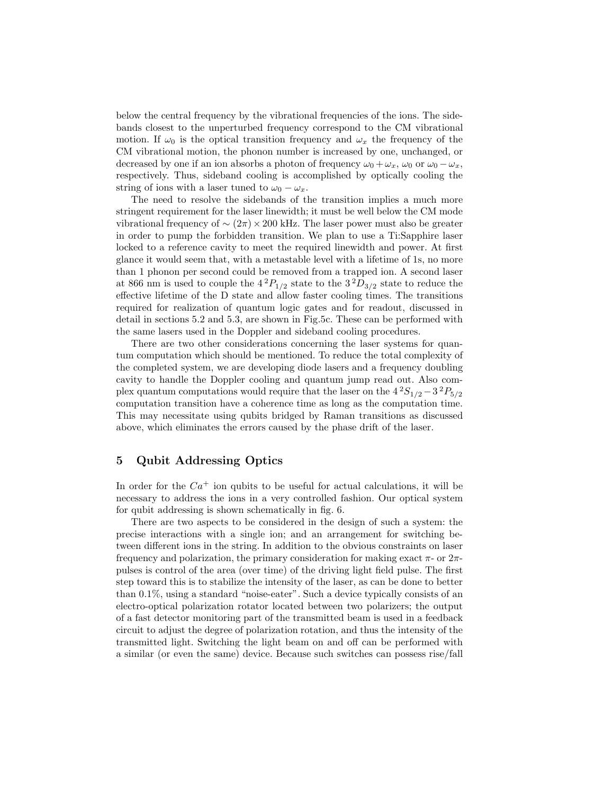below the central frequency by the vibrational frequencies of the ions. The sidebands closest to the unperturbed frequency correspond to the CM vibrational motion. If  $\omega_0$  is the optical transition frequency and  $\omega_x$  the frequency of the CM vibrational motion, the phonon number is increased by one, unchanged, or decreased by one if an ion absorbs a photon of frequency  $\omega_0 + \omega_x$ ,  $\omega_0$  or  $\omega_0 - \omega_x$ , respectively. Thus, sideband cooling is accomplished by optically cooling the string of ions with a laser tuned to  $\omega_0 - \omega_x$ .

The need to resolve the sidebands of the transition implies a much more stringent requirement for the laser linewidth; it must be well below the CM mode vibrational frequency of  $\sim$  (2π) × 200 kHz. The laser power must also be greater in order to pump the forbidden transition. We plan to use a Ti:Sapphire laser locked to a reference cavity to meet the required linewidth and power. At first glance it would seem that, with a metastable level with a lifetime of 1s, no more than 1 phonon per second could be removed from a trapped ion. A second laser at 866 nm is used to couple the  $4^{2}P_{1/2}$  state to the  $3^{2}D_{3/2}$  state to reduce the effective lifetime of the D state and allow faster cooling times. The transitions required for realization of quantum logic gates and for readout, discussed in detail in sections 5.2 and 5.3, are shown in Fig.5c. These can be performed with the same lasers used in the Doppler and sideband cooling procedures.

There are two other considerations concerning the laser systems for quantum computation which should be mentioned. To reduce the total complexity of the completed system, we are developing diode lasers and a frequency doubling cavity to handle the Doppler cooling and quantum jump read out. Also complex quantum computations would require that the laser on the  $4^2S_{1/2} - 3^2P_{5/2}$ computation transition have a coherence time as long as the computation time. This may necessitate using qubits bridged by Raman transitions as discussed above, which eliminates the errors caused by the phase drift of the laser.

## 5 Qubit Addressing Optics

In order for the  $Ca^+$  ion qubits to be useful for actual calculations, it will be necessary to address the ions in a very controlled fashion. Our optical system for qubit addressing is shown schematically in fig. 6.

There are two aspects to be considered in the design of such a system: the precise interactions with a single ion; and an arrangement for switching between different ions in the string. In addition to the obvious constraints on laser frequency and polarization, the primary consideration for making exact  $\pi$ - or  $2\pi$ pulses is control of the area (over time) of the driving light field pulse. The first step toward this is to stabilize the intensity of the laser, as can be done to better than 0.1%, using a standard "noise-eater". Such a device typically consists of an electro-optical polarization rotator located between two polarizers; the output of a fast detector monitoring part of the transmitted beam is used in a feedback circuit to adjust the degree of polarization rotation, and thus the intensity of the transmitted light. Switching the light beam on and off can be performed with a similar (or even the same) device. Because such switches can possess rise/fall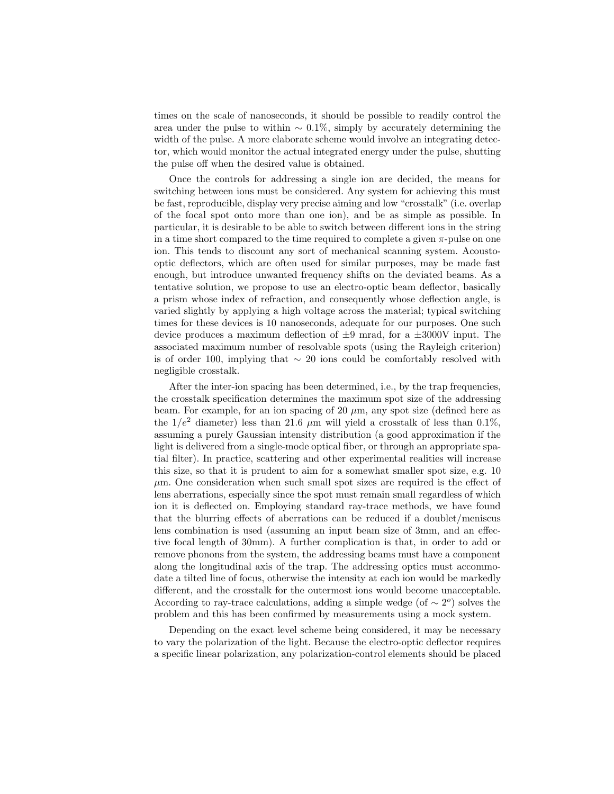times on the scale of nanoseconds, it should be possible to readily control the area under the pulse to within  $\sim 0.1\%$ , simply by accurately determining the width of the pulse. A more elaborate scheme would involve an integrating detector, which would monitor the actual integrated energy under the pulse, shutting the pulse off when the desired value is obtained.

Once the controls for addressing a single ion are decided, the means for switching between ions must be considered. Any system for achieving this must be fast, reproducible, display very precise aiming and low "crosstalk" (i.e. overlap of the focal spot onto more than one ion), and be as simple as possible. In particular, it is desirable to be able to switch between different ions in the string in a time short compared to the time required to complete a given  $\pi$ -pulse on one ion. This tends to discount any sort of mechanical scanning system. Acoustooptic deflectors, which are often used for similar purposes, may be made fast enough, but introduce unwanted frequency shifts on the deviated beams. As a tentative solution, we propose to use an electro-optic beam deflector, basically a prism whose index of refraction, and consequently whose deflection angle, is varied slightly by applying a high voltage across the material; typical switching times for these devices is 10 nanoseconds, adequate for our purposes. One such device produces a maximum deflection of  $\pm 9$  mrad, for a  $\pm 3000$ V input. The associated maximum number of resolvable spots (using the Rayleigh criterion) is of order 100, implying that ∼ 20 ions could be comfortably resolved with negligible crosstalk.

After the inter-ion spacing has been determined, i.e., by the trap frequencies, the crosstalk specification determines the maximum spot size of the addressing beam. For example, for an ion spacing of 20  $\mu$ m, any spot size (defined here as the  $1/e^2$  diameter) less than 21.6  $\mu$ m will yield a crosstalk of less than 0.1%, assuming a purely Gaussian intensity distribution (a good approximation if the light is delivered from a single-mode optical fiber, or through an appropriate spatial filter). In practice, scattering and other experimental realities will increase this size, so that it is prudent to aim for a somewhat smaller spot size, e.g. 10  $\mu$ m. One consideration when such small spot sizes are required is the effect of lens aberrations, especially since the spot must remain small regardless of which ion it is deflected on. Employing standard ray-trace methods, we have found that the blurring effects of aberrations can be reduced if a doublet/meniscus lens combination is used (assuming an input beam size of 3mm, and an effective focal length of 30mm). A further complication is that, in order to add or remove phonons from the system, the addressing beams must have a component along the longitudinal axis of the trap. The addressing optics must accommodate a tilted line of focus, otherwise the intensity at each ion would be markedly different, and the crosstalk for the outermost ions would become unacceptable. According to ray-trace calculations, adding a simple wedge (of  $\sim 2^{\circ}$ ) solves the problem and this has been confirmed by measurements using a mock system.

Depending on the exact level scheme being considered, it may be necessary to vary the polarization of the light. Because the electro-optic deflector requires a specific linear polarization, any polarization-control elements should be placed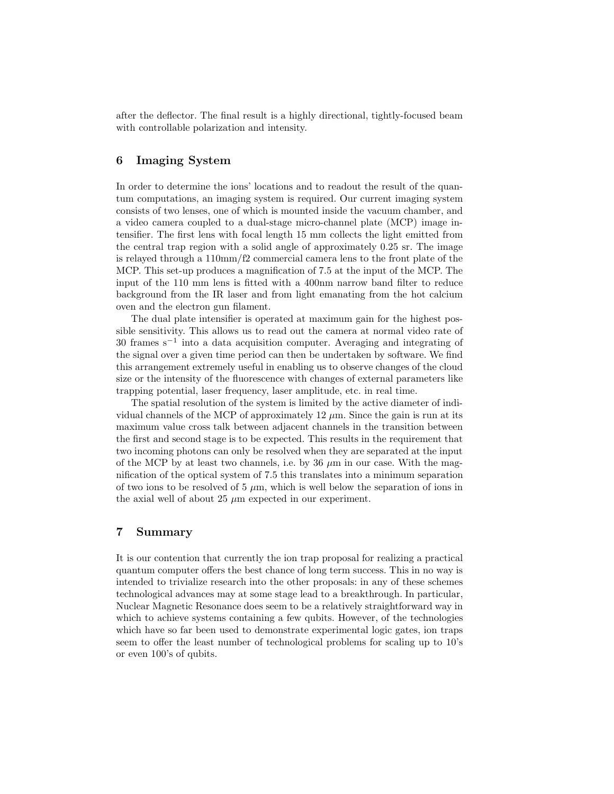after the deflector. The final result is a highly directional, tightly-focused beam with controllable polarization and intensity.

# 6 Imaging System

In order to determine the ions' locations and to readout the result of the quantum computations, an imaging system is required. Our current imaging system consists of two lenses, one of which is mounted inside the vacuum chamber, and a video camera coupled to a dual-stage micro-channel plate (MCP) image intensifier. The first lens with focal length 15 mm collects the light emitted from the central trap region with a solid angle of approximately 0.25 sr. The image is relayed through a 110mm/f2 commercial camera lens to the front plate of the MCP. This set-up produces a magnification of 7.5 at the input of the MCP. The input of the 110 mm lens is fitted with a 400nm narrow band filter to reduce background from the IR laser and from light emanating from the hot calcium oven and the electron gun filament.

The dual plate intensifier is operated at maximum gain for the highest possible sensitivity. This allows us to read out the camera at normal video rate of 30 frames s<sup>−</sup><sup>1</sup> into a data acquisition computer. Averaging and integrating of the signal over a given time period can then be undertaken by software. We find this arrangement extremely useful in enabling us to observe changes of the cloud size or the intensity of the fluorescence with changes of external parameters like trapping potential, laser frequency, laser amplitude, etc. in real time.

The spatial resolution of the system is limited by the active diameter of individual channels of the MCP of approximately  $12 \mu$ m. Since the gain is run at its maximum value cross talk between adjacent channels in the transition between the first and second stage is to be expected. This results in the requirement that two incoming photons can only be resolved when they are separated at the input of the MCP by at least two channels, i.e. by 36  $\mu$ m in our case. With the magnification of the optical system of 7.5 this translates into a minimum separation of two ions to be resolved of 5  $\mu$ m, which is well below the separation of ions in the axial well of about 25  $\mu$ m expected in our experiment.

# 7 Summary

It is our contention that currently the ion trap proposal for realizing a practical quantum computer offers the best chance of long term success. This in no way is intended to trivialize research into the other proposals: in any of these schemes technological advances may at some stage lead to a breakthrough. In particular, Nuclear Magnetic Resonance does seem to be a relatively straightforward way in which to achieve systems containing a few qubits. However, of the technologies which have so far been used to demonstrate experimental logic gates, ion traps seem to offer the least number of technological problems for scaling up to 10's or even 100's of qubits.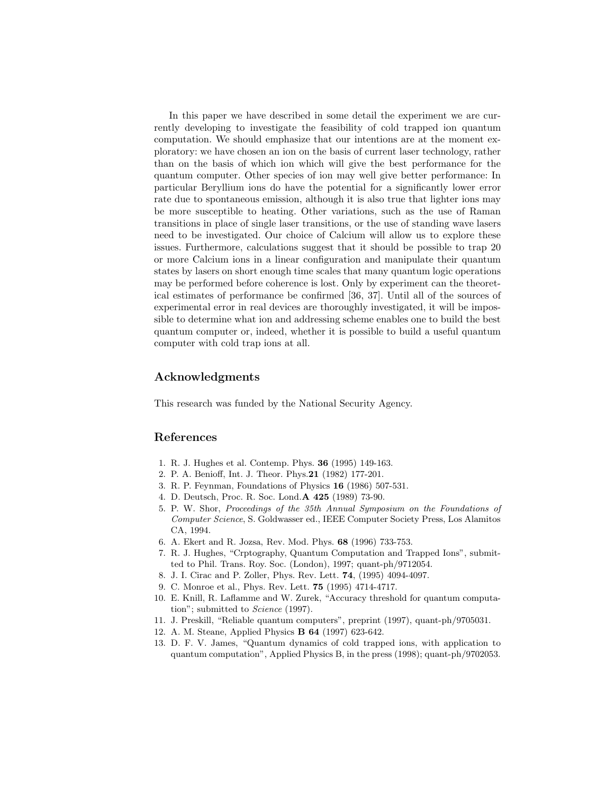In this paper we have described in some detail the experiment we are currently developing to investigate the feasibility of cold trapped ion quantum computation. We should emphasize that our intentions are at the moment exploratory: we have chosen an ion on the basis of current laser technology, rather than on the basis of which ion which will give the best performance for the quantum computer. Other species of ion may well give better performance: In particular Beryllium ions do have the potential for a significantly lower error rate due to spontaneous emission, although it is also true that lighter ions may be more susceptible to heating. Other variations, such as the use of Raman transitions in place of single laser transitions, or the use of standing wave lasers need to be investigated. Our choice of Calcium will allow us to explore these issues. Furthermore, calculations suggest that it should be possible to trap 20 or more Calcium ions in a linear configuration and manipulate their quantum states by lasers on short enough time scales that many quantum logic operations may be performed before coherence is lost. Only by experiment can the theoretical estimates of performance be confirmed [36, 37]. Until all of the sources of experimental error in real devices are thoroughly investigated, it will be impossible to determine what ion and addressing scheme enables one to build the best quantum computer or, indeed, whether it is possible to build a useful quantum computer with cold trap ions at all.

#### Acknowledgments

This research was funded by the National Security Agency.

## References

- 1. R. J. Hughes et al. Contemp. Phys. 36 (1995) 149-163.
- 2. P. A. Benioff, Int. J. Theor. Phys.21 (1982) 177-201.
- 3. R. P. Feynman, Foundations of Physics 16 (1986) 507-531.
- 4. D. Deutsch, Proc. R. Soc. Lond.A 425 (1989) 73-90.
- 5. P. W. Shor, Proceedings of the 35th Annual Symposium on the Foundations of Computer Science, S. Goldwasser ed., IEEE Computer Society Press, Los Alamitos CA, 1994.
- 6. A. Ekert and R. Jozsa, Rev. Mod. Phys. 68 (1996) 733-753.
- 7. R. J. Hughes, "Crptography, Quantum Computation and Trapped Ions", submitted to Phil. Trans. Roy. Soc. (London), 1997; quant-ph/9712054.
- 8. J. I. Cirac and P. Zoller, Phys. Rev. Lett. 74, (1995) 4094-4097.
- 9. C. Monroe et al., Phys. Rev. Lett. 75 (1995) 4714-4717.
- 10. E. Knill, R. Laflamme and W. Zurek, "Accuracy threshold for quantum computation"; submitted to *Science* (1997).
- 11. J. Preskill, "Reliable quantum computers", preprint (1997), quant-ph/9705031.
- 12. A. M. Steane, Applied Physics B 64 (1997) 623-642.
- 13. D. F. V. James, "Quantum dynamics of cold trapped ions, with application to quantum computation", Applied Physics B, in the press (1998); quant-ph/9702053.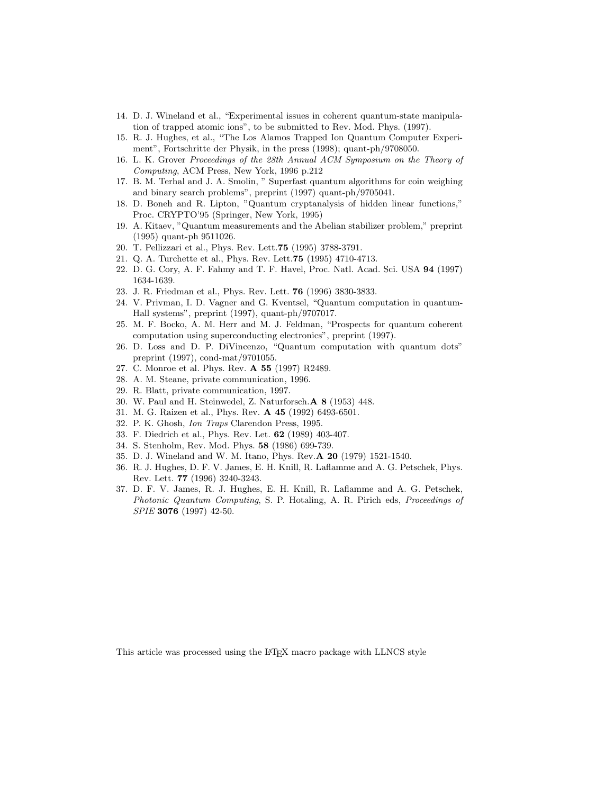- 14. D. J. Wineland et al., "Experimental issues in coherent quantum-state manipulation of trapped atomic ions", to be submitted to Rev. Mod. Phys. (1997).
- 15. R. J. Hughes, et al., "The Los Alamos Trapped Ion Quantum Computer Experiment", Fortschritte der Physik, in the press (1998); quant-ph/9708050.
- 16. L. K. Grover Proceedings of the 28th Annual ACM Symposium on the Theory of Computing, ACM Press, New York, 1996 p.212
- 17. B. M. Terhal and J. A. Smolin, " Superfast quantum algorithms for coin weighing and binary search problems", preprint (1997) quant-ph/9705041.
- 18. D. Boneh and R. Lipton, "Quantum cryptanalysis of hidden linear functions," Proc. CRYPTO'95 (Springer, New York, 1995)
- 19. A. Kitaev, "Quantum measurements and the Abelian stabilizer problem," preprint (1995) quant-ph 9511026.
- 20. T. Pellizzari et al., Phys. Rev. Lett.75 (1995) 3788-3791.
- 21. Q. A. Turchette et al., Phys. Rev. Lett.75 (1995) 4710-4713.
- 22. D. G. Cory, A. F. Fahmy and T. F. Havel, Proc. Natl. Acad. Sci. USA 94 (1997) 1634-1639.
- 23. J. R. Friedman et al., Phys. Rev. Lett. 76 (1996) 3830-3833.
- 24. V. Privman, I. D. Vagner and G. Kventsel, "Quantum computation in quantum-Hall systems", preprint (1997), quant-ph/9707017.
- 25. M. F. Bocko, A. M. Herr and M. J. Feldman, "Prospects for quantum coherent computation using superconducting electronics", preprint (1997).
- 26. D. Loss and D. P. DiVincenzo, "Quantum computation with quantum dots" preprint (1997), cond-mat/9701055.
- 27. C. Monroe et al. Phys. Rev. A 55 (1997) R2489.
- 28. A. M. Steane, private communication, 1996.
- 29. R. Blatt, private communication, 1997.
- 30. W. Paul and H. Steinwedel, Z. Naturforsch.A 8 (1953) 448.
- 31. M. G. Raizen et al., Phys. Rev. A 45 (1992) 6493-6501.
- 32. P. K. Ghosh, Ion Traps Clarendon Press, 1995.
- 33. F. Diedrich et al., Phys. Rev. Let. 62 (1989) 403-407.
- 34. S. Stenholm, Rev. Mod. Phys. 58 (1986) 699-739.
- 35. D. J. Wineland and W. M. Itano, Phys. Rev.A 20 (1979) 1521-1540.
- 36. R. J. Hughes, D. F. V. James, E. H. Knill, R. Laflamme and A. G. Petschek, Phys. Rev. Lett. 77 (1996) 3240-3243.
- 37. D. F. V. James, R. J. Hughes, E. H. Knill, R. Laflamme and A. G. Petschek, Photonic Quantum Computing, S. P. Hotaling, A. R. Pirich eds, Proceedings of SPIE 3076 (1997) 42-50.

This article was processed using the LATEX macro package with LLNCS style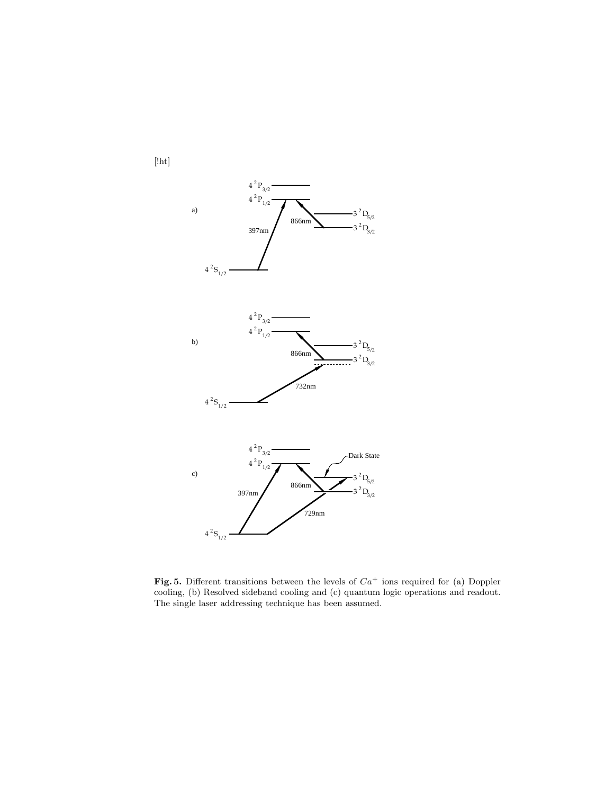

Fig. 5. Different transitions between the levels of  $Ca^+$  ions required for (a) Doppler cooling, (b) Resolved sideband cooling and (c) quantum logic operations and readout. The single laser addressing technique has been assumed.

[!ht]